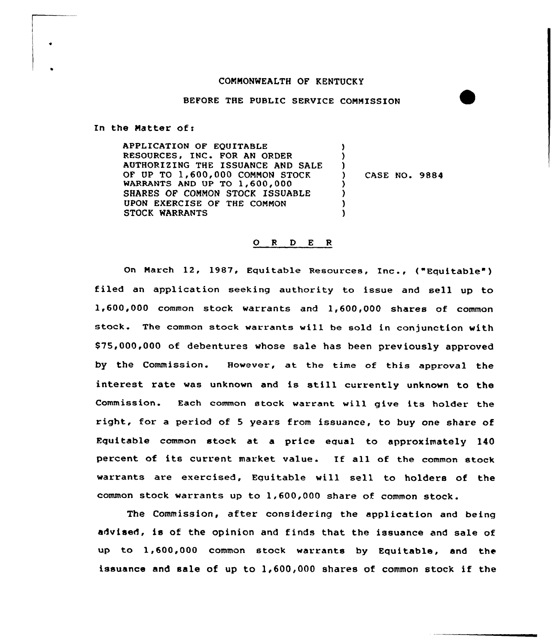## CONNONWEALTH OF KENTUCKY

## BEFORE THE PUBLIC SERVICE CONMISSION

In the Natter of <sup>i</sup>

APPLICATION OF EQUITABLE RESOURCES, INC. FOR AN ORDER AUTHORIZING THE ISSUANCE AND SALE OF UP TO 1,600,000 CONNON STOCK WARRANTS AND UP TO 1,600,000 SHARES OF COMMON STOCK ISSUABLE UPON EXERCISE OF THE CONNON STOCK WARRANTS ) )  $\left\{ \right\}$ CASE NO. 9884 )  $\lambda$ ) )

## 0 <sup>R</sup> <sup>D</sup> <sup>E</sup> <sup>R</sup>

On Narch 12, 1987, Equitable Resources, Inc., ("Equitable~) filed an application seeking authority to issue and sell up to 1,600,000 common stock warrants and 1,600,000 shares of common stock. The common stock warrants will be sold in conjunction with \$75,000,000 of debentures whose sale has been previously approved by the Commission. However, at the time of this approval the interest rate was unknown and is still currently unknown to the Commission. Each common stock warrant will give its holder the right, for a period of <sup>5</sup> years from issuance, to buy one share of Equitable common stock at a price equal to approximately 140 percent of its current market value. If all of the common stock warrants are evercised, Equitable will sell to holders of the common stock warrants up to 1,600,000 share of common stock.

The Commission, after considering the application and being advised, is of the opinion and finds that the issuance and sale of up to 1,600,000 common stock warrants by Equitable, and the issuance and sale of up to 1,600,000 shares of common stock if the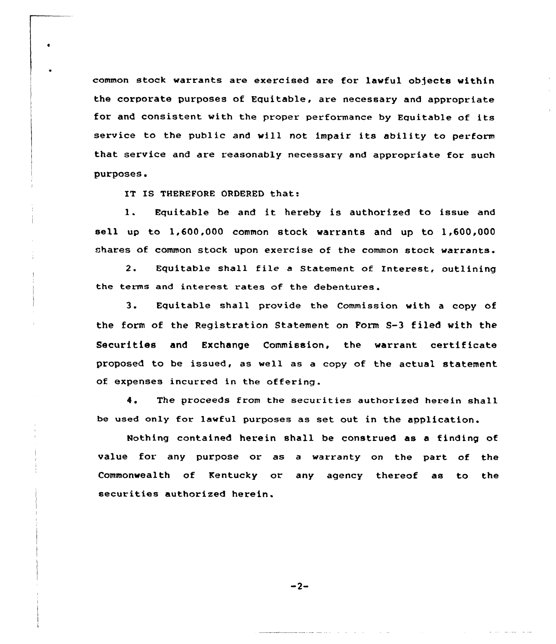common stock warrants are exercised are for lavful objects vithin the corporate purposes of Equitable, are necessary and appropriate for and consistent with the proper performance by Equitable of its service to the public and vill not impair its ability to perform that service and are reasonably necessary and appropriate for such purposes.

IT IS THEREFORE ORDERED that:

l. Equitable be and it hereby is authorized to issue and sell up to 1,600,000 common stock warrants and up to 1,600,000 shares of common stock upon exercise of the common stock warrants.

2. Equitable shall file <sup>a</sup> Statement of Interest, outlining the terms and interest rates of the debentures.

3. Fquitable shall provide the Commission with <sup>a</sup> copy of the form of the Registration Statement on Form S-3 filed with the Securities and Exchange Commission, the warrant certificate proposed to be issued, as well as a copy of the actual statement of expenses incurred in the offering.

4, The proceeds from the securities authorized herein shall be used only for lawful purposes as set out in the application.

Nothing contained herein shall be construed as a finding of value for any purpose or as a warranty on the part of the Commonwealth of Kentucky or any agency thereof as to the securities authorized herein.

 $-2-$